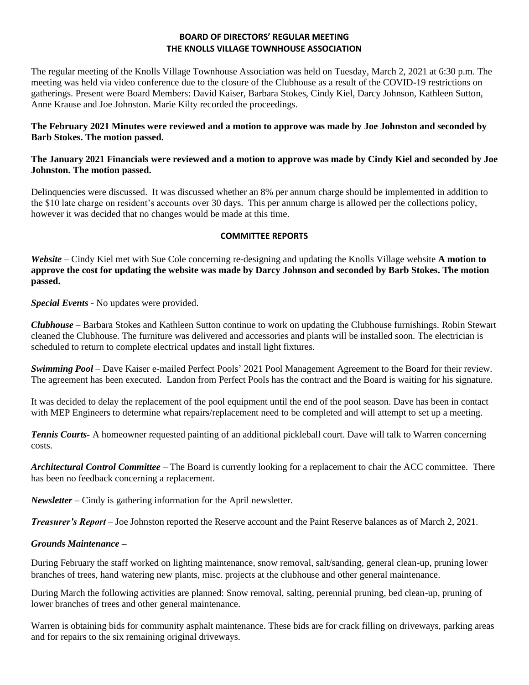## **BOARD OF DIRECTORS' REGULAR MEETING THE KNOLLS VILLAGE TOWNHOUSE ASSOCIATION**

The regular meeting of the Knolls Village Townhouse Association was held on Tuesday, March 2, 2021 at 6:30 p.m. The meeting was held via video conference due to the closure of the Clubhouse as a result of the COVID-19 restrictions on gatherings. Present were Board Members: David Kaiser, Barbara Stokes, Cindy Kiel, Darcy Johnson, Kathleen Sutton, Anne Krause and Joe Johnston. Marie Kilty recorded the proceedings.

## **The February 2021 Minutes were reviewed and a motion to approve was made by Joe Johnston and seconded by Barb Stokes. The motion passed.**

## **The January 2021 Financials were reviewed and a motion to approve was made by Cindy Kiel and seconded by Joe Johnston. The motion passed.**

Delinquencies were discussed. It was discussed whether an 8% per annum charge should be implemented in addition to the \$10 late charge on resident's accounts over 30 days. This per annum charge is allowed per the collections policy, however it was decided that no changes would be made at this time.

## **COMMITTEE REPORTS**

*Website –* Cindy Kiel met with Sue Cole concerning re-designing and updating the Knolls Village website **A motion to approve the cost for updating the website was made by Darcy Johnson and seconded by Barb Stokes. The motion passed.**

*Special Events* - No updates were provided.

*Clubhouse* **–** Barbara Stokes and Kathleen Sutton continue to work on updating the Clubhouse furnishings. Robin Stewart cleaned the Clubhouse. The furniture was delivered and accessories and plants will be installed soon. The electrician is scheduled to return to complete electrical updates and install light fixtures.

*Swimming Pool* – Dave Kaiser e-mailed Perfect Pools' 2021 Pool Management Agreement to the Board for their review. The agreement has been executed. Landon from Perfect Pools has the contract and the Board is waiting for his signature.

It was decided to delay the replacement of the pool equipment until the end of the pool season. Dave has been in contact with MEP Engineers to determine what repairs/replacement need to be completed and will attempt to set up a meeting.

*Tennis Courts-* A homeowner requested painting of an additional pickleball court. Dave will talk to Warren concerning costs.

*Architectural Control Committee* – The Board is currently looking for a replacement to chair the ACC committee. There has been no feedback concerning a replacement.

*Newsletter* – Cindy is gathering information for the April newsletter.

*Treasurer's Report* – Joe Johnston reported the Reserve account and the Paint Reserve balances as of March 2, 2021.

# *Grounds Maintenance* **–**

During February the staff worked on lighting maintenance, snow removal, salt/sanding, general clean-up, pruning lower branches of trees, hand watering new plants, misc. projects at the clubhouse and other general maintenance.

During March the following activities are planned: Snow removal, salting, perennial pruning, bed clean-up, pruning of lower branches of trees and other general maintenance.

Warren is obtaining bids for community asphalt maintenance. These bids are for crack filling on driveways, parking areas and for repairs to the six remaining original driveways.